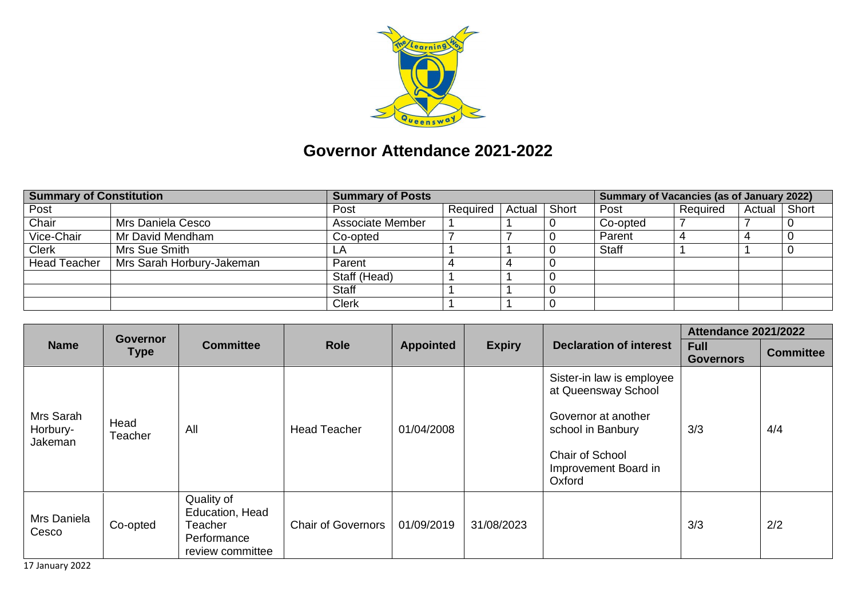

## **Governor Attendance 2021-2022**

| <b>Summary of Constitution</b> |                           | <b>Summary of Posts</b> |          |                |  | Summary of Vacancies (as of January 2022) |          |              |  |
|--------------------------------|---------------------------|-------------------------|----------|----------------|--|-------------------------------------------|----------|--------------|--|
| Post                           |                           | Post                    | Required | Actual   Short |  | Post                                      | Required | Actual Short |  |
| Chair                          | Mrs Daniela Cesco         | Associate Member        |          |                |  | Co-opted                                  |          |              |  |
| Vice-Chair                     | Mr David Mendham          | Co-opted                |          |                |  | Parent                                    |          |              |  |
| <b>Clerk</b>                   | Mrs Sue Smith             |                         |          |                |  | <b>Staff</b>                              |          |              |  |
| <b>Head Teacher</b>            | Mrs Sarah Horbury-Jakeman | Parent                  |          |                |  |                                           |          |              |  |
|                                |                           | Staff (Head)            |          |                |  |                                           |          |              |  |
|                                |                           | <b>Staff</b>            |          |                |  |                                           |          |              |  |
|                                |                           | <b>Clerk</b>            |          |                |  |                                           |          |              |  |

|                                  | Governor<br><b>Type</b> | <b>Committee</b>                                                            | <b>Role</b>               | <b>Appointed</b> |               | <b>Declaration of interest</b>                                                                                                                    | <b>Attendance 2021/2022</b>     |                  |
|----------------------------------|-------------------------|-----------------------------------------------------------------------------|---------------------------|------------------|---------------|---------------------------------------------------------------------------------------------------------------------------------------------------|---------------------------------|------------------|
| <b>Name</b>                      |                         |                                                                             |                           |                  | <b>Expiry</b> |                                                                                                                                                   | <b>Full</b><br><b>Governors</b> | <b>Committee</b> |
| Mrs Sarah<br>Horbury-<br>Jakeman | Head<br>Teacher         | All                                                                         | <b>Head Teacher</b>       | 01/04/2008       |               | Sister-in law is employee<br>at Queensway School<br>Governor at another<br>school in Banbury<br>Chair of School<br>Improvement Board in<br>Oxford | 3/3                             | 4/4              |
| Mrs Daniela<br>Cesco             | Co-opted                | Quality of<br>Education, Head<br>Teacher<br>Performance<br>review committee | <b>Chair of Governors</b> | 01/09/2019       | 31/08/2023    |                                                                                                                                                   | 3/3                             | 2/2              |

17 January 2022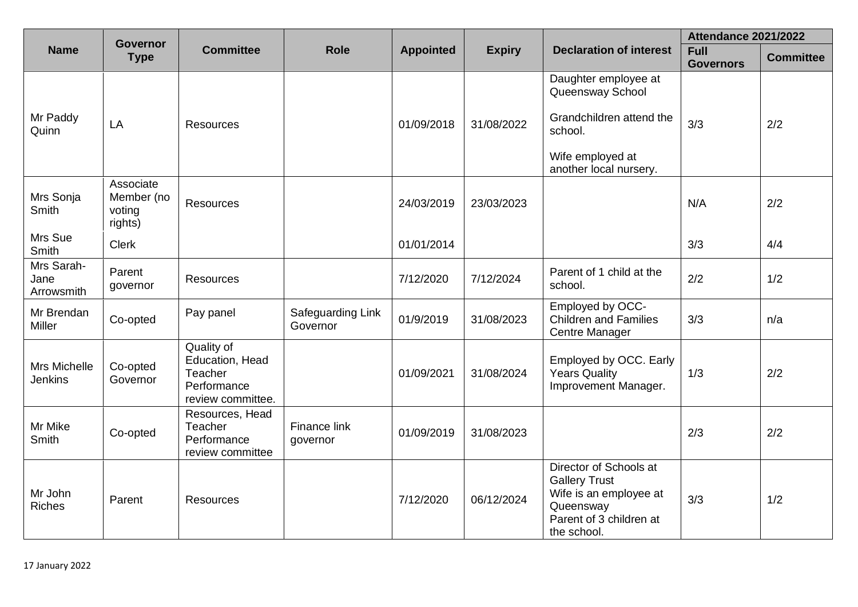|                                       | <b>Governor</b>                              |                                                                              |                               |                  |               |                                                                                                                                 | <b>Attendance 2021/2022</b>     |                  |  |
|---------------------------------------|----------------------------------------------|------------------------------------------------------------------------------|-------------------------------|------------------|---------------|---------------------------------------------------------------------------------------------------------------------------------|---------------------------------|------------------|--|
| <b>Name</b>                           | <b>Type</b>                                  | <b>Committee</b>                                                             | <b>Role</b>                   | <b>Appointed</b> | <b>Expiry</b> | <b>Declaration of interest</b>                                                                                                  | <b>Full</b><br><b>Governors</b> | <b>Committee</b> |  |
| Mr Paddy<br>Quinn                     | LA                                           | <b>Resources</b>                                                             |                               | 01/09/2018       | 31/08/2022    | Daughter employee at<br>Queensway School<br>Grandchildren attend the<br>school.<br>Wife employed at<br>another local nursery.   | 3/3                             | 2/2              |  |
| Mrs Sonja<br>Smith                    | Associate<br>Member (no<br>voting<br>rights) | Resources                                                                    |                               | 24/03/2019       | 23/03/2023    |                                                                                                                                 | N/A                             | 2/2              |  |
| Mrs Sue<br>Smith                      | <b>Clerk</b>                                 |                                                                              |                               | 01/01/2014       |               |                                                                                                                                 | 3/3                             | 4/4              |  |
| Mrs Sarah-<br>Jane<br>Arrowsmith      | Parent<br>governor                           | <b>Resources</b>                                                             |                               | 7/12/2020        | 7/12/2024     | Parent of 1 child at the<br>school.                                                                                             | 2/2                             | 1/2              |  |
| Mr Brendan<br>Miller                  | Co-opted                                     | Pay panel                                                                    | Safeguarding Link<br>Governor | 01/9/2019        | 31/08/2023    | Employed by OCC-<br><b>Children and Families</b><br>Centre Manager                                                              | 3/3                             | n/a              |  |
| <b>Mrs Michelle</b><br><b>Jenkins</b> | Co-opted<br>Governor                         | Quality of<br>Education, Head<br>Teacher<br>Performance<br>review committee. |                               | 01/09/2021       | 31/08/2024    | Employed by OCC. Early<br><b>Years Quality</b><br>Improvement Manager.                                                          | 1/3                             | 2/2              |  |
| Mr Mike<br>Smith                      | Co-opted                                     | Resources, Head<br>Teacher<br>Performance<br>review committee                | Finance link<br>governor      | 01/09/2019       | 31/08/2023    |                                                                                                                                 | 2/3                             | 2/2              |  |
| Mr John<br><b>Riches</b>              | Parent                                       | Resources                                                                    |                               | 7/12/2020        | 06/12/2024    | Director of Schools at<br><b>Gallery Trust</b><br>Wife is an employee at<br>Queensway<br>Parent of 3 children at<br>the school. | 3/3                             | 1/2              |  |